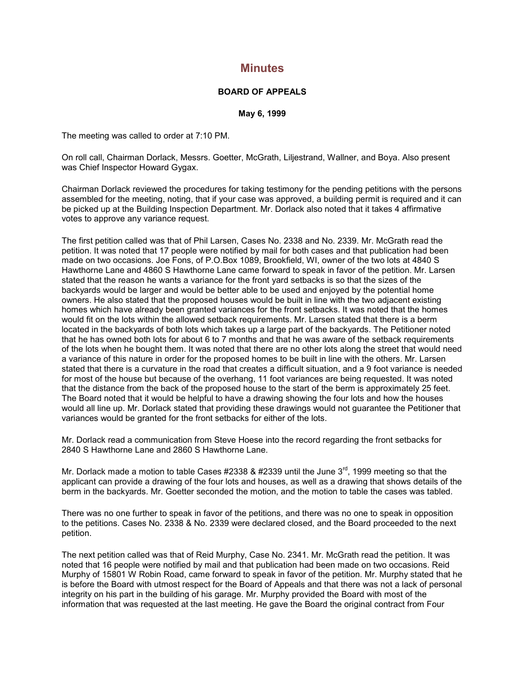## **Minutes**

## **BOARD OF APPEALS**

**May 6, 1999**

The meeting was called to order at 7:10 PM.

On roll call, Chairman Dorlack, Messrs. Goetter, McGrath, Liljestrand, Wallner, and Boya. Also present was Chief Inspector Howard Gygax.

Chairman Dorlack reviewed the procedures for taking testimony for the pending petitions with the persons assembled for the meeting, noting, that if your case was approved, a building permit is required and it can be picked up at the Building Inspection Department. Mr. Dorlack also noted that it takes 4 affirmative votes to approve any variance request.

The first petition called was that of Phil Larsen, Cases No. 2338 and No. 2339. Mr. McGrath read the petition. It was noted that 17 people were notified by mail for both cases and that publication had been made on two occasions. Joe Fons, of P.O.Box 1089, Brookfield, WI, owner of the two lots at 4840 S Hawthorne Lane and 4860 S Hawthorne Lane came forward to speak in favor of the petition. Mr. Larsen stated that the reason he wants a variance for the front yard setbacks is so that the sizes of the backyards would be larger and would be better able to be used and enjoyed by the potential home owners. He also stated that the proposed houses would be built in line with the two adjacent existing homes which have already been granted variances for the front setbacks. It was noted that the homes would fit on the lots within the allowed setback requirements. Mr. Larsen stated that there is a berm located in the backyards of both lots which takes up a large part of the backyards. The Petitioner noted that he has owned both lots for about 6 to 7 months and that he was aware of the setback requirements of the lots when he bought them. It was noted that there are no other lots along the street that would need a variance of this nature in order for the proposed homes to be built in line with the others. Mr. Larsen stated that there is a curvature in the road that creates a difficult situation, and a 9 foot variance is needed for most of the house but because of the overhang, 11 foot variances are being requested. It was noted that the distance from the back of the proposed house to the start of the berm is approximately 25 feet. The Board noted that it would be helpful to have a drawing showing the four lots and how the houses would all line up. Mr. Dorlack stated that providing these drawings would not guarantee the Petitioner that variances would be granted for the front setbacks for either of the lots.

Mr. Dorlack read a communication from Steve Hoese into the record regarding the front setbacks for 2840 S Hawthorne Lane and 2860 S Hawthorne Lane.

Mr. Dorlack made a motion to table Cases #2338 & #2339 until the June  $3<sup>rd</sup>$ , 1999 meeting so that the applicant can provide a drawing of the four lots and houses, as well as a drawing that shows details of the berm in the backyards. Mr. Goetter seconded the motion, and the motion to table the cases was tabled.

There was no one further to speak in favor of the petitions, and there was no one to speak in opposition to the petitions. Cases No. 2338 & No. 2339 were declared closed, and the Board proceeded to the next petition.

The next petition called was that of Reid Murphy, Case No. 2341. Mr. McGrath read the petition. It was noted that 16 people were notified by mail and that publication had been made on two occasions. Reid Murphy of 15801 W Robin Road, came forward to speak in favor of the petition. Mr. Murphy stated that he is before the Board with utmost respect for the Board of Appeals and that there was not a lack of personal integrity on his part in the building of his garage. Mr. Murphy provided the Board with most of the information that was requested at the last meeting. He gave the Board the original contract from Four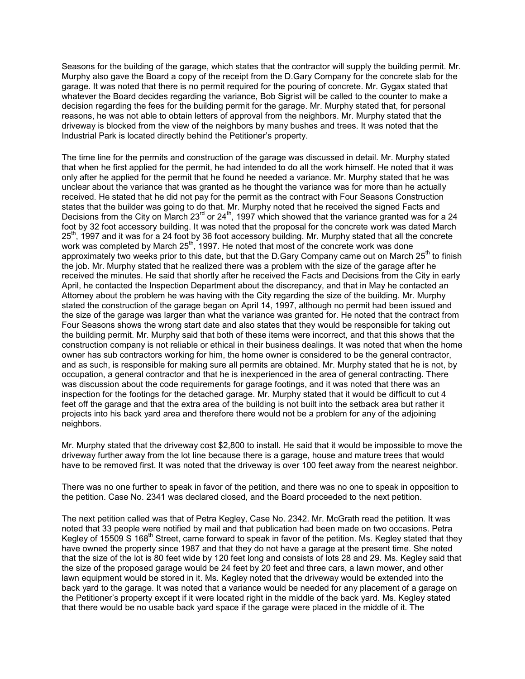Seasons for the building of the garage, which states that the contractor will supply the building permit. Mr. Murphy also gave the Board a copy of the receipt from the D.Gary Company for the concrete slab for the garage. It was noted that there is no permit required for the pouring of concrete. Mr. Gygax stated that whatever the Board decides regarding the variance, Bob Sigrist will be called to the counter to make a decision regarding the fees for the building permit for the garage. Mr. Murphy stated that, for personal reasons, he was not able to obtain letters of approval from the neighbors. Mr. Murphy stated that the driveway is blocked from the view of the neighbors by many bushes and trees. It was noted that the Industrial Park is located directly behind the Petitioner's property.

The time line for the permits and construction of the garage was discussed in detail. Mr. Murphy stated that when he first applied for the permit, he had intended to do all the work himself. He noted that it was only after he applied for the permit that he found he needed a variance. Mr. Murphy stated that he was unclear about the variance that was granted as he thought the variance was for more than he actually received. He stated that he did not pay for the permit as the contract with Four Seasons Construction states that the builder was going to do that. Mr. Murphy noted that he received the signed Facts and Decisions from the City on March 23<sup>rd</sup> or 24<sup>th</sup>, 1997 which showed that the variance granted was for a 24 foot by 32 foot accessory building. It was noted that the proposal for the concrete work was dated March 25<sup>th</sup>, 1997 and it was for a 24 foot by 36 foot accessory building. Mr. Murphy stated that all the concrete work was completed by March  $25<sup>th</sup>$ , 1997. He noted that most of the concrete work was done approximately two weeks prior to this date, but that the D.Gary Company came out on March  $25<sup>th</sup>$  to finish the job. Mr. Murphy stated that he realized there was a problem with the size of the garage after he received the minutes. He said that shortly after he received the Facts and Decisions from the City in early April, he contacted the Inspection Department about the discrepancy, and that in May he contacted an Attorney about the problem he was having with the City regarding the size of the building. Mr. Murphy stated the construction of the garage began on April 14, 1997, although no permit had been issued and the size of the garage was larger than what the variance was granted for. He noted that the contract from Four Seasons shows the wrong start date and also states that they would be responsible for taking out the building permit. Mr. Murphy said that both of these items were incorrect, and that this shows that the construction company is not reliable or ethical in their business dealings. It was noted that when the home owner has sub contractors working for him, the home owner is considered to be the general contractor, and as such, is responsible for making sure all permits are obtained. Mr. Murphy stated that he is not, by occupation, a general contractor and that he is inexperienced in the area of general contracting. There was discussion about the code requirements for garage footings, and it was noted that there was an inspection for the footings for the detached garage. Mr. Murphy stated that it would be difficult to cut 4 feet off the garage and that the extra area of the building is not built into the setback area but rather it projects into his back yard area and therefore there would not be a problem for any of the adjoining neighbors.

Mr. Murphy stated that the driveway cost \$2,800 to install. He said that it would be impossible to move the driveway further away from the lot line because there is a garage, house and mature trees that would have to be removed first. It was noted that the driveway is over 100 feet away from the nearest neighbor.

There was no one further to speak in favor of the petition, and there was no one to speak in opposition to the petition. Case No. 2341 was declared closed, and the Board proceeded to the next petition.

The next petition called was that of Petra Kegley, Case No. 2342. Mr. McGrath read the petition. It was noted that 33 people were notified by mail and that publication had been made on two occasions. Petra Kegley of 15509 S 168<sup>th</sup> Street, came forward to speak in favor of the petition. Ms. Kegley stated that they have owned the property since 1987 and that they do not have a garage at the present time. She noted that the size of the lot is 80 feet wide by 120 feet long and consists of lots 28 and 29. Ms. Kegley said that the size of the proposed garage would be 24 feet by 20 feet and three cars, a lawn mower, and other lawn equipment would be stored in it. Ms. Kegley noted that the driveway would be extended into the back yard to the garage. It was noted that a variance would be needed for any placement of a garage on the Petitioner's property except if it were located right in the middle of the back yard. Ms. Kegley stated that there would be no usable back yard space if the garage were placed in the middle of it. The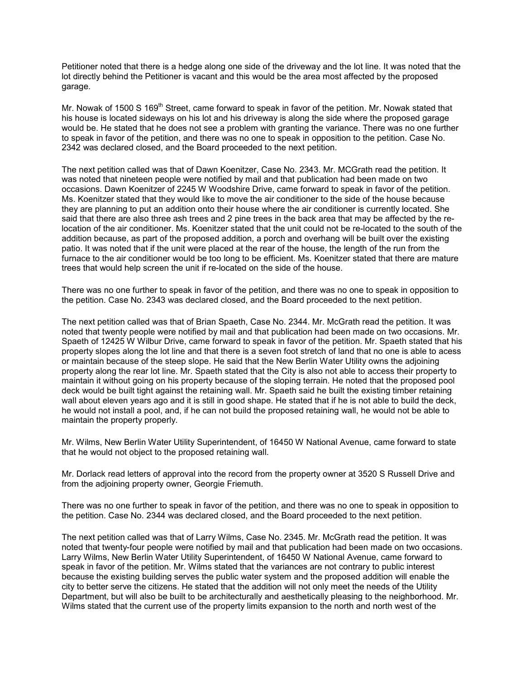Petitioner noted that there is a hedge along one side of the driveway and the lot line. It was noted that the lot directly behind the Petitioner is vacant and this would be the area most affected by the proposed garage.

Mr. Nowak of 1500 S 169<sup>th</sup> Street, came forward to speak in favor of the petition. Mr. Nowak stated that his house is located sideways on his lot and his driveway is along the side where the proposed garage would be. He stated that he does not see a problem with granting the variance. There was no one further to speak in favor of the petition, and there was no one to speak in opposition to the petition. Case No. 2342 was declared closed, and the Board proceeded to the next petition.

The next petition called was that of Dawn Koenitzer, Case No. 2343. Mr. MCGrath read the petition. It was noted that nineteen people were notified by mail and that publication had been made on two occasions. Dawn Koenitzer of 2245 W Woodshire Drive, came forward to speak in favor of the petition. Ms. Koenitzer stated that they would like to move the air conditioner to the side of the house because they are planning to put an addition onto their house where the air conditioner is currently located. She said that there are also three ash trees and 2 pine trees in the back area that may be affected by the relocation of the air conditioner. Ms. Koenitzer stated that the unit could not be re-located to the south of the addition because, as part of the proposed addition, a porch and overhang will be built over the existing patio. It was noted that if the unit were placed at the rear of the house, the length of the run from the furnace to the air conditioner would be too long to be efficient. Ms. Koenitzer stated that there are mature trees that would help screen the unit if re-located on the side of the house.

There was no one further to speak in favor of the petition, and there was no one to speak in opposition to the petition. Case No. 2343 was declared closed, and the Board proceeded to the next petition.

The next petition called was that of Brian Spaeth, Case No. 2344. Mr. McGrath read the petition. It was noted that twenty people were notified by mail and that publication had been made on two occasions. Mr. Spaeth of 12425 W Wilbur Drive, came forward to speak in favor of the petition. Mr. Spaeth stated that his property slopes along the lot line and that there is a seven foot stretch of land that no one is able to acess or maintain because of the steep slope. He said that the New Berlin Water Utility owns the adjoining property along the rear lot line. Mr. Spaeth stated that the City is also not able to access their property to maintain it without going on his property because of the sloping terrain. He noted that the proposed pool deck would be built tight against the retaining wall. Mr. Spaeth said he built the existing timber retaining wall about eleven years ago and it is still in good shape. He stated that if he is not able to build the deck, he would not install a pool, and, if he can not build the proposed retaining wall, he would not be able to maintain the property properly.

Mr. Wilms, New Berlin Water Utility Superintendent, of 16450 W National Avenue, came forward to state that he would not object to the proposed retaining wall.

Mr. Dorlack read letters of approval into the record from the property owner at 3520 S Russell Drive and from the adjoining property owner, Georgie Friemuth.

There was no one further to speak in favor of the petition, and there was no one to speak in opposition to the petition. Case No. 2344 was declared closed, and the Board proceeded to the next petition.

The next petition called was that of Larry Wilms, Case No. 2345. Mr. McGrath read the petition. It was noted that twenty-four people were notified by mail and that publication had been made on two occasions. Larry Wilms, New Berlin Water Utility Superintendent, of 16450 W National Avenue, came forward to speak in favor of the petition. Mr. Wilms stated that the variances are not contrary to public interest because the existing building serves the public water system and the proposed addition will enable the city to better serve the citizens. He stated that the addition will not only meet the needs of the Utility Department, but will also be built to be architecturally and aesthetically pleasing to the neighborhood. Mr. Wilms stated that the current use of the property limits expansion to the north and north west of the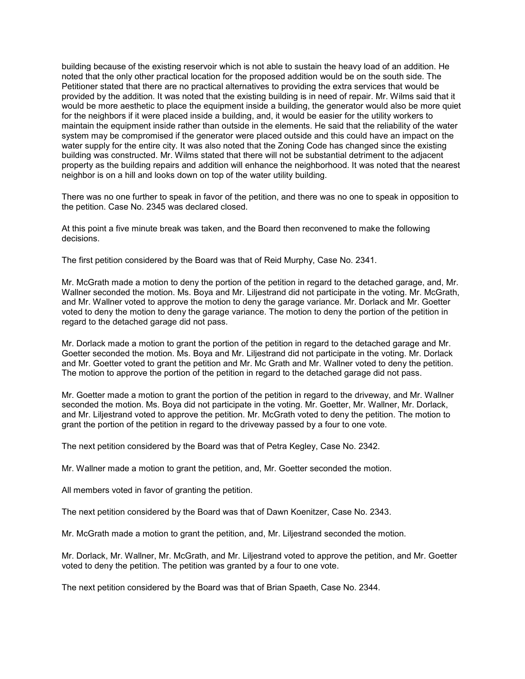building because of the existing reservoir which is not able to sustain the heavy load of an addition. He noted that the only other practical location for the proposed addition would be on the south side. The Petitioner stated that there are no practical alternatives to providing the extra services that would be provided by the addition. It was noted that the existing building is in need of repair. Mr. Wilms said that it would be more aesthetic to place the equipment inside a building, the generator would also be more quiet for the neighbors if it were placed inside a building, and, it would be easier for the utility workers to maintain the equipment inside rather than outside in the elements. He said that the reliability of the water system may be compromised if the generator were placed outside and this could have an impact on the water supply for the entire city. It was also noted that the Zoning Code has changed since the existing building was constructed. Mr. Wilms stated that there will not be substantial detriment to the adjacent property as the building repairs and addition will enhance the neighborhood. It was noted that the nearest neighbor is on a hill and looks down on top of the water utility building.

There was no one further to speak in favor of the petition, and there was no one to speak in opposition to the petition. Case No. 2345 was declared closed.

At this point a five minute break was taken, and the Board then reconvened to make the following decisions.

The first petition considered by the Board was that of Reid Murphy, Case No. 2341.

Mr. McGrath made a motion to deny the portion of the petition in regard to the detached garage, and, Mr. Wallner seconded the motion. Ms. Boya and Mr. Liljestrand did not participate in the voting. Mr. McGrath, and Mr. Wallner voted to approve the motion to deny the garage variance. Mr. Dorlack and Mr. Goetter voted to deny the motion to deny the garage variance. The motion to deny the portion of the petition in regard to the detached garage did not pass.

Mr. Dorlack made a motion to grant the portion of the petition in regard to the detached garage and Mr. Goetter seconded the motion. Ms. Boya and Mr. Liljestrand did not participate in the voting. Mr. Dorlack and Mr. Goetter voted to grant the petition and Mr. Mc Grath and Mr. Wallner voted to deny the petition. The motion to approve the portion of the petition in regard to the detached garage did not pass.

Mr. Goetter made a motion to grant the portion of the petition in regard to the driveway, and Mr. Wallner seconded the motion. Ms. Boya did not participate in the voting. Mr. Goetter, Mr. Wallner, Mr. Dorlack, and Mr. Liljestrand voted to approve the petition. Mr. McGrath voted to deny the petition. The motion to grant the portion of the petition in regard to the driveway passed by a four to one vote.

The next petition considered by the Board was that of Petra Kegley, Case No. 2342.

Mr. Wallner made a motion to grant the petition, and, Mr. Goetter seconded the motion.

All members voted in favor of granting the petition.

The next petition considered by the Board was that of Dawn Koenitzer, Case No. 2343.

Mr. McGrath made a motion to grant the petition, and, Mr. Liljestrand seconded the motion.

Mr. Dorlack, Mr. Wallner, Mr. McGrath, and Mr. Liljestrand voted to approve the petition, and Mr. Goetter voted to deny the petition. The petition was granted by a four to one vote.

The next petition considered by the Board was that of Brian Spaeth, Case No. 2344.